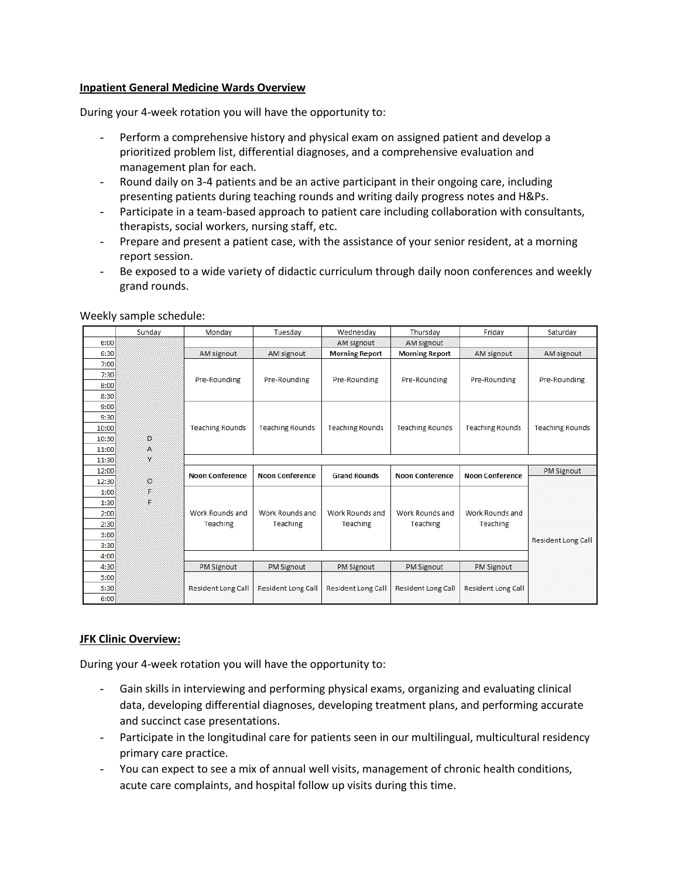## **Inpatient General Medicine Wards Overview**

During your 4-week rotation you will have the opportunity to:

- Perform a comprehensive history and physical exam on assigned patient and develop a prioritized problem list, differential diagnoses, and a comprehensive evaluation and management plan for each.
- Round daily on 3-4 patients and be an active participant in their ongoing care, including presenting patients during teaching rounds and writing daily progress notes and H&Ps.
- Participate in a team-based approach to patient care including collaboration with consultants, therapists, social workers, nursing staff, etc.
- Prepare and present a patient case, with the assistance of your senior resident, at a morning report session.
- Be exposed to a wide variety of didactic curriculum through daily noon conferences and weekly grand rounds.

|       | Sunday  | Mondav                    | Tuesdav                   | Wednesday                 | Thursday                  | Friday                    | Saturday                  |
|-------|---------|---------------------------|---------------------------|---------------------------|---------------------------|---------------------------|---------------------------|
| 6:00  |         |                           |                           | <b>AM signout</b>         | AM signout                |                           |                           |
| 6:30  |         | AM signout                | AM signout                | <b>Morning Report</b>     | <b>Morning Report</b>     | AM signout                | AM signout                |
| 7:00  |         |                           |                           |                           |                           |                           |                           |
| 7:30  |         | Pre-Rounding              | Pre-Rounding              | Pre-Rounding              | Pre-Rounding              | Pre-Rounding              | Pre-Rounding              |
| 8:00  |         |                           |                           |                           |                           |                           |                           |
| 8:30  |         |                           |                           |                           |                           |                           |                           |
| 9:00  |         |                           |                           |                           |                           |                           |                           |
| 9:30  |         |                           |                           |                           |                           |                           |                           |
| 10:00 |         | <b>Teaching Rounds</b>    | <b>Teaching Rounds</b>    | <b>Teaching Rounds</b>    | <b>Teaching Rounds</b>    | <b>Teaching Rounds</b>    | <b>Teaching Rounds</b>    |
| 10:30 | Đ       |                           |                           |                           |                           |                           |                           |
| 11:00 | A       |                           |                           |                           |                           |                           |                           |
| 11:30 |         |                           |                           |                           |                           |                           |                           |
| 12:00 |         | <b>Noon Conference</b>    | <b>Noon Conference</b>    | <b>Grand Rounds</b>       | <b>Noon Conference</b>    | <b>Noon Conference</b>    | <b>PM Signout</b>         |
| 12:30 | $\circ$ |                           |                           |                           |                           |                           |                           |
| 1:00  | F       |                           |                           |                           |                           |                           |                           |
| 1:30  | F       |                           |                           |                           |                           |                           |                           |
| 2:00  |         | <b>Work Rounds and</b>    | Work Rounds and           | <b>Work Rounds and</b>    | Work Rounds and           | <b>Work Rounds and</b>    |                           |
| 2:30  |         | Teaching                  | Teaching                  | <b>Teaching</b>           | Teaching                  | <b>Teaching</b>           |                           |
| 3:00  |         |                           |                           |                           |                           |                           | <b>Resident Long Call</b> |
| 3:30  |         |                           |                           |                           |                           |                           |                           |
| 4:00  |         |                           |                           |                           |                           |                           |                           |
| 4:30  |         | <b>PM Signout</b>         | <b>PM Signout</b>         | <b>PM Signout</b>         | <b>PM Signout</b>         | <b>PM Signout</b>         |                           |
| 5:00  |         |                           |                           |                           |                           |                           |                           |
| 5:30  |         | <b>Resident Long Call</b> | <b>Resident Long Call</b> | <b>Resident Long Call</b> | <b>Resident Long Call</b> | <b>Resident Long Call</b> |                           |
| 6:00  |         |                           |                           |                           |                           |                           |                           |

Weekly sample schedule:

## **JFK Clinic Overview:**

During your 4-week rotation you will have the opportunity to:

- Gain skills in interviewing and performing physical exams, organizing and evaluating clinical data, developing differential diagnoses, developing treatment plans, and performing accurate and succinct case presentations.
- Participate in the longitudinal care for patients seen in our multilingual, multicultural residency primary care practice.
- You can expect to see a mix of annual well visits, management of chronic health conditions, acute care complaints, and hospital follow up visits during this time.